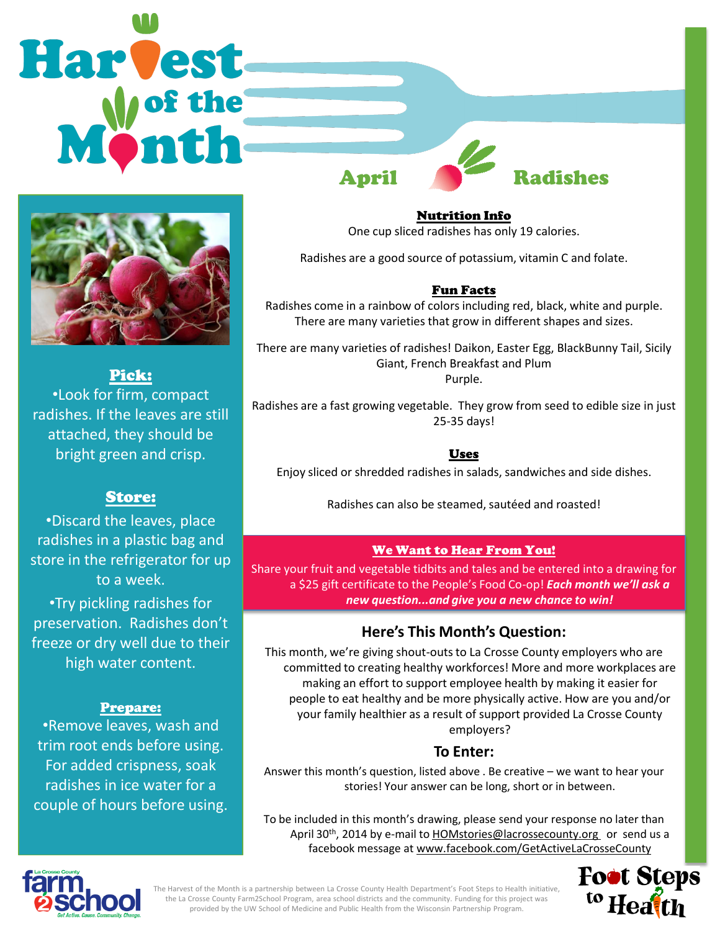



Pick: •Look for firm, compact radishes. If the leaves are still attached, they should be bright green and crisp.

## Store:

•Discard the leaves, place radishes in a plastic bag and store in the refrigerator for up to a week.

•Try pickling radishes for preservation. Radishes don't freeze or dry well due to their high water content.

### Prepare:

•Remove leaves, wash and trim root ends before using. For added crispness, soak radishes in ice water for a couple of hours before using.

Nutrition Info One cup sliced radishes has only 19 calories.

Radishes are a good source of potassium, vitamin C and folate.

## Fun Facts

Radishes come in a rainbow of colors including red, black, white and purple. There are many varieties that grow in different shapes and sizes.

There are many varieties of radishes! Daikon, Easter Egg, BlackBunny Tail, Sicily Giant, French Breakfast and Plum Purple.

Radishes are a fast growing vegetable. They grow from seed to edible size in just 25-35 days!

### Uses

Enjoy sliced or shredded radishes in salads, sandwiches and side dishes.

Radishes can also be steamed, sautéed and roasted!

## We Want to Hear From You!

Share your fruit and vegetable tidbits and tales and be entered into a drawing for a \$25 gift certificate to the People's Food Co-op! *Each month we'll ask a new question...and give you a new chance to win!* 

# **Here's This Month's Question:**

This month, we're giving shout-outs to La Crosse County employers who are committed to creating healthy workforces! More and more workplaces are making an effort to support employee health by making it easier for people to eat healthy and be more physically active. How are you and/or your family healthier as a result of support provided La Crosse County employers?

# **To Enter:**

Answer this month's question, listed above . Be creative – we want to hear your stories! Your answer can be long, short or in between.

To be included in this month's drawing, please send your response no later than April 30<sup>th</sup>, 2014 by e-mail to **HOMstories@lacrossecounty.org** or send us a facebook message at www.facebook.com/GetActiveLaCrosseCounty



The Harvest of the Month is a partnership between La Crosse County Health Department's Foot Steps to Health initiative, the La Crosse County Farm2School Program, area school districts and the community. Funding for this project was provided by the UW School of Medicine and Public Health from the Wisconsin Partnership Program.